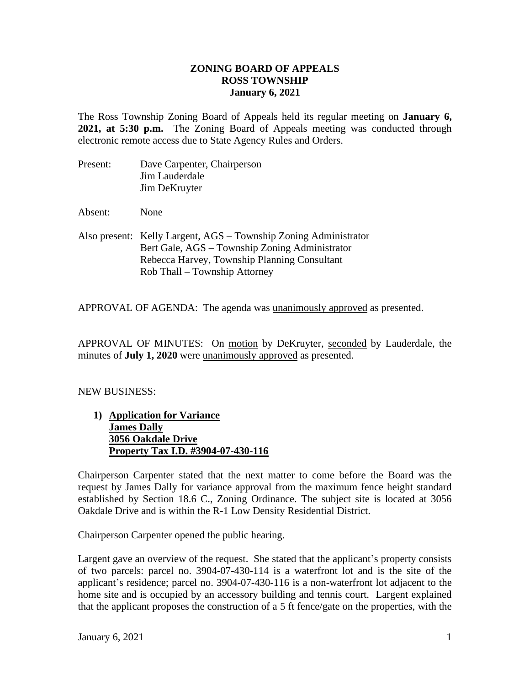## **ZONING BOARD OF APPEALS ROSS TOWNSHIP January 6, 2021**

The Ross Township Zoning Board of Appeals held its regular meeting on **January 6, 2021, at 5:30 p.m.** The Zoning Board of Appeals meeting was conducted through electronic remote access due to State Agency Rules and Orders.

| Present: | Dave Carpenter, Chairperson |
|----------|-----------------------------|
|          | Jim Lauderdale              |
|          | Jim DeKruyter               |

Absent: None

Also present: Kelly Largent, AGS – Township Zoning Administrator Bert Gale, AGS – Township Zoning Administrator Rebecca Harvey, Township Planning Consultant Rob Thall – Township Attorney

APPROVAL OF AGENDA: The agenda was unanimously approved as presented.

APPROVAL OF MINUTES: On motion by DeKruyter, seconded by Lauderdale, the minutes of **July 1, 2020** were unanimously approved as presented.

## NEW BUSINESS:

**1) Application for Variance James Dally 3056 Oakdale Drive Property Tax I.D. #3904-07-430-116**

Chairperson Carpenter stated that the next matter to come before the Board was the request by James Dally for variance approval from the maximum fence height standard established by Section 18.6 C., Zoning Ordinance. The subject site is located at 3056 Oakdale Drive and is within the R-1 Low Density Residential District.

Chairperson Carpenter opened the public hearing.

Largent gave an overview of the request. She stated that the applicant's property consists of two parcels: parcel no. 3904-07-430-114 is a waterfront lot and is the site of the applicant's residence; parcel no. 3904-07-430-116 is a non-waterfront lot adjacent to the home site and is occupied by an accessory building and tennis court. Largent explained that the applicant proposes the construction of a 5 ft fence/gate on the properties, with the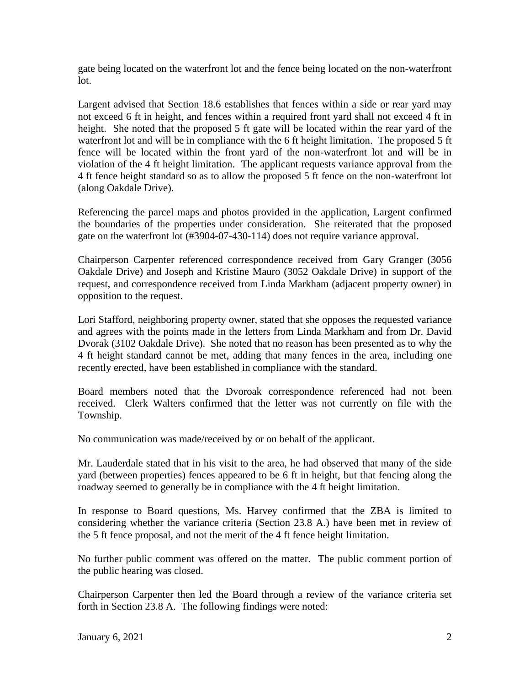gate being located on the waterfront lot and the fence being located on the non-waterfront lot.

Largent advised that Section 18.6 establishes that fences within a side or rear yard may not exceed 6 ft in height, and fences within a required front yard shall not exceed 4 ft in height. She noted that the proposed 5 ft gate will be located within the rear yard of the waterfront lot and will be in compliance with the 6 ft height limitation. The proposed 5 ft fence will be located within the front yard of the non-waterfront lot and will be in violation of the 4 ft height limitation. The applicant requests variance approval from the 4 ft fence height standard so as to allow the proposed 5 ft fence on the non-waterfront lot (along Oakdale Drive).

Referencing the parcel maps and photos provided in the application, Largent confirmed the boundaries of the properties under consideration. She reiterated that the proposed gate on the waterfront lot (#3904-07-430-114) does not require variance approval.

Chairperson Carpenter referenced correspondence received from Gary Granger (3056 Oakdale Drive) and Joseph and Kristine Mauro (3052 Oakdale Drive) in support of the request, and correspondence received from Linda Markham (adjacent property owner) in opposition to the request.

Lori Stafford, neighboring property owner, stated that she opposes the requested variance and agrees with the points made in the letters from Linda Markham and from Dr. David Dvorak (3102 Oakdale Drive). She noted that no reason has been presented as to why the 4 ft height standard cannot be met, adding that many fences in the area, including one recently erected, have been established in compliance with the standard.

Board members noted that the Dvoroak correspondence referenced had not been received. Clerk Walters confirmed that the letter was not currently on file with the Township.

No communication was made/received by or on behalf of the applicant.

Mr. Lauderdale stated that in his visit to the area, he had observed that many of the side yard (between properties) fences appeared to be 6 ft in height, but that fencing along the roadway seemed to generally be in compliance with the 4 ft height limitation.

In response to Board questions, Ms. Harvey confirmed that the ZBA is limited to considering whether the variance criteria (Section 23.8 A.) have been met in review of the 5 ft fence proposal, and not the merit of the 4 ft fence height limitation.

No further public comment was offered on the matter. The public comment portion of the public hearing was closed.

Chairperson Carpenter then led the Board through a review of the variance criteria set forth in Section 23.8 A. The following findings were noted: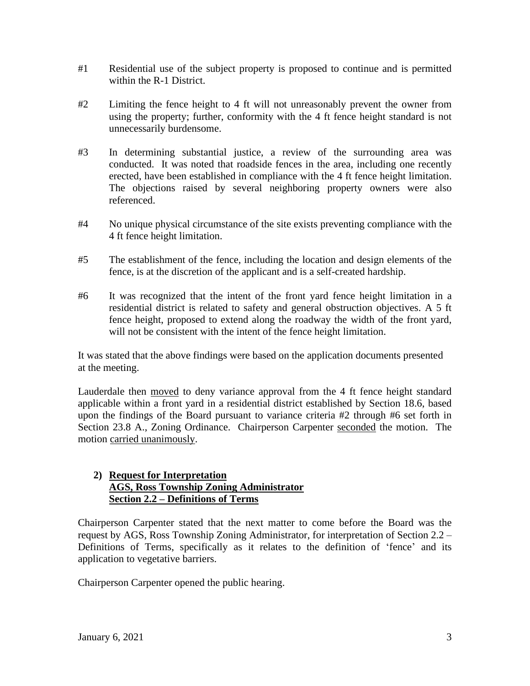- #1 Residential use of the subject property is proposed to continue and is permitted within the R-1 District.
- #2 Limiting the fence height to 4 ft will not unreasonably prevent the owner from using the property; further, conformity with the 4 ft fence height standard is not unnecessarily burdensome.
- #3 In determining substantial justice, a review of the surrounding area was conducted. It was noted that roadside fences in the area, including one recently erected, have been established in compliance with the 4 ft fence height limitation. The objections raised by several neighboring property owners were also referenced.
- #4 No unique physical circumstance of the site exists preventing compliance with the 4 ft fence height limitation.
- #5 The establishment of the fence, including the location and design elements of the fence, is at the discretion of the applicant and is a self-created hardship.
- #6 It was recognized that the intent of the front yard fence height limitation in a residential district is related to safety and general obstruction objectives. A 5 ft fence height, proposed to extend along the roadway the width of the front yard, will not be consistent with the intent of the fence height limitation.

It was stated that the above findings were based on the application documents presented at the meeting.

Lauderdale then moved to deny variance approval from the 4 ft fence height standard applicable within a front yard in a residential district established by Section 18.6, based upon the findings of the Board pursuant to variance criteria #2 through #6 set forth in Section 23.8 A., Zoning Ordinance. Chairperson Carpenter seconded the motion. The motion carried unanimously.

## **2) Request for Interpretation AGS, Ross Township Zoning Administrator Section 2.2 – Definitions of Terms**

Chairperson Carpenter stated that the next matter to come before the Board was the request by AGS, Ross Township Zoning Administrator, for interpretation of Section 2.2 – Definitions of Terms, specifically as it relates to the definition of 'fence' and its application to vegetative barriers.

Chairperson Carpenter opened the public hearing.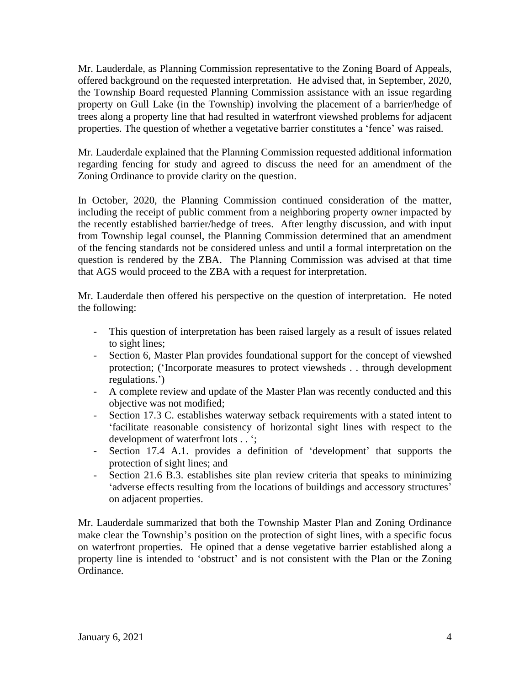Mr. Lauderdale, as Planning Commission representative to the Zoning Board of Appeals, offered background on the requested interpretation. He advised that, in September, 2020, the Township Board requested Planning Commission assistance with an issue regarding property on Gull Lake (in the Township) involving the placement of a barrier/hedge of trees along a property line that had resulted in waterfront viewshed problems for adjacent properties. The question of whether a vegetative barrier constitutes a 'fence' was raised.

Mr. Lauderdale explained that the Planning Commission requested additional information regarding fencing for study and agreed to discuss the need for an amendment of the Zoning Ordinance to provide clarity on the question.

In October, 2020, the Planning Commission continued consideration of the matter, including the receipt of public comment from a neighboring property owner impacted by the recently established barrier/hedge of trees. After lengthy discussion, and with input from Township legal counsel, the Planning Commission determined that an amendment of the fencing standards not be considered unless and until a formal interpretation on the question is rendered by the ZBA. The Planning Commission was advised at that time that AGS would proceed to the ZBA with a request for interpretation.

Mr. Lauderdale then offered his perspective on the question of interpretation. He noted the following:

- This question of interpretation has been raised largely as a result of issues related to sight lines;
- Section 6, Master Plan provides foundational support for the concept of viewshed protection; ('Incorporate measures to protect viewsheds . . through development regulations.')
- A complete review and update of the Master Plan was recently conducted and this objective was not modified;
- Section 17.3 C. establishes waterway setback requirements with a stated intent to 'facilitate reasonable consistency of horizontal sight lines with respect to the development of waterfront lots . . ';
- Section 17.4 A.1. provides a definition of 'development' that supports the protection of sight lines; and
- Section 21.6 B.3. establishes site plan review criteria that speaks to minimizing 'adverse effects resulting from the locations of buildings and accessory structures' on adjacent properties.

Mr. Lauderdale summarized that both the Township Master Plan and Zoning Ordinance make clear the Township's position on the protection of sight lines, with a specific focus on waterfront properties. He opined that a dense vegetative barrier established along a property line is intended to 'obstruct' and is not consistent with the Plan or the Zoning Ordinance.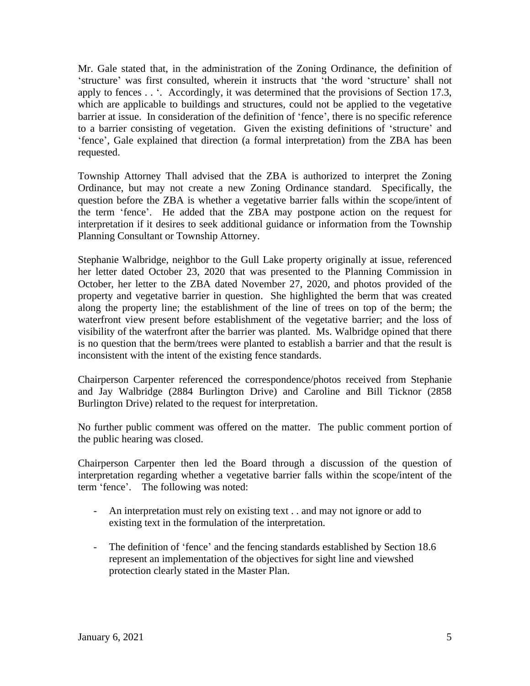Mr. Gale stated that, in the administration of the Zoning Ordinance, the definition of 'structure' was first consulted, wherein it instructs that 'the word 'structure' shall not apply to fences . . '. Accordingly, it was determined that the provisions of Section 17.3, which are applicable to buildings and structures, could not be applied to the vegetative barrier at issue. In consideration of the definition of 'fence', there is no specific reference to a barrier consisting of vegetation. Given the existing definitions of 'structure' and 'fence', Gale explained that direction (a formal interpretation) from the ZBA has been requested.

Township Attorney Thall advised that the ZBA is authorized to interpret the Zoning Ordinance, but may not create a new Zoning Ordinance standard. Specifically, the question before the ZBA is whether a vegetative barrier falls within the scope/intent of the term 'fence'. He added that the ZBA may postpone action on the request for interpretation if it desires to seek additional guidance or information from the Township Planning Consultant or Township Attorney.

Stephanie Walbridge, neighbor to the Gull Lake property originally at issue, referenced her letter dated October 23, 2020 that was presented to the Planning Commission in October, her letter to the ZBA dated November 27, 2020, and photos provided of the property and vegetative barrier in question. She highlighted the berm that was created along the property line; the establishment of the line of trees on top of the berm; the waterfront view present before establishment of the vegetative barrier; and the loss of visibility of the waterfront after the barrier was planted. Ms. Walbridge opined that there is no question that the berm/trees were planted to establish a barrier and that the result is inconsistent with the intent of the existing fence standards.

Chairperson Carpenter referenced the correspondence/photos received from Stephanie and Jay Walbridge (2884 Burlington Drive) and Caroline and Bill Ticknor (2858 Burlington Drive) related to the request for interpretation.

No further public comment was offered on the matter. The public comment portion of the public hearing was closed.

Chairperson Carpenter then led the Board through a discussion of the question of interpretation regarding whether a vegetative barrier falls within the scope/intent of the term 'fence'. The following was noted:

- An interpretation must rely on existing text . . and may not ignore or add to existing text in the formulation of the interpretation.
- The definition of 'fence' and the fencing standards established by Section 18.6 represent an implementation of the objectives for sight line and viewshed protection clearly stated in the Master Plan.